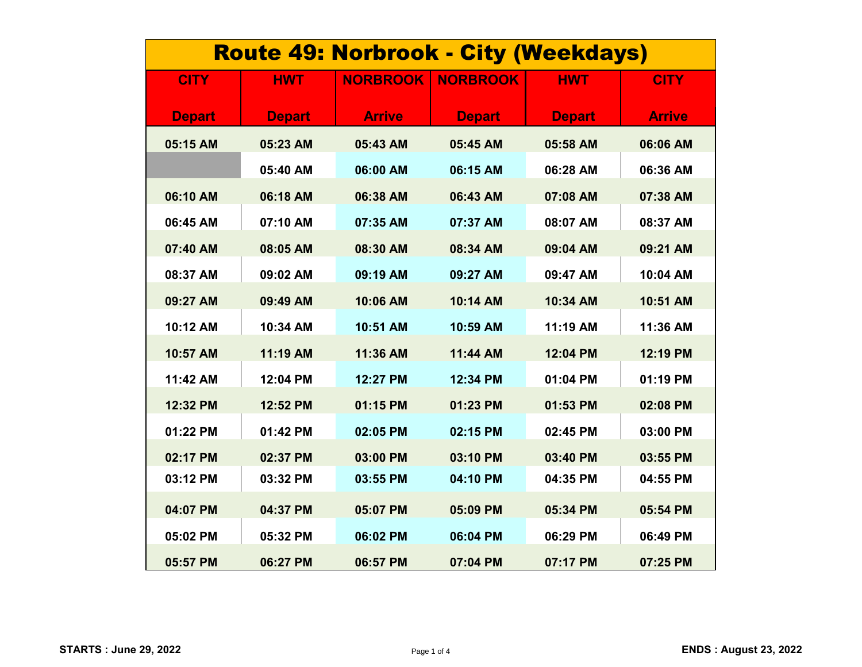| <b>Route 49: Norbrook - City (Weekdays)</b> |               |                 |                 |               |               |  |
|---------------------------------------------|---------------|-----------------|-----------------|---------------|---------------|--|
| <b>CITY</b>                                 | <b>HWT</b>    | <b>NORBROOK</b> | <b>NORBROOK</b> | <b>HWT</b>    | <b>CITY</b>   |  |
| <b>Depart</b>                               | <b>Depart</b> | <b>Arrive</b>   | <b>Depart</b>   | <b>Depart</b> | <b>Arrive</b> |  |
| 05:15 AM                                    | 05:23 AM      | 05:43 AM        | 05:45 AM        | 05:58 AM      | 06:06 AM      |  |
|                                             | 05:40 AM      | 06:00 AM        | 06:15 AM        | 06:28 AM      | 06:36 AM      |  |
| 06:10 AM                                    | 06:18 AM      | 06:38 AM        | 06:43 AM        | 07:08 AM      | 07:38 AM      |  |
| 06:45 AM                                    | 07:10 AM      | 07:35 AM        | 07:37 AM        | 08:07 AM      | 08:37 AM      |  |
| 07:40 AM                                    | 08:05 AM      | 08:30 AM        | 08:34 AM        | 09:04 AM      | 09:21 AM      |  |
| 08:37 AM                                    | 09:02 AM      | 09:19 AM        | 09:27 AM        | 09:47 AM      | 10:04 AM      |  |
| 09:27 AM                                    | 09:49 AM      | 10:06 AM        | 10:14 AM        | 10:34 AM      | 10:51 AM      |  |
| 10:12 AM                                    | 10:34 AM      | 10:51 AM        | 10:59 AM        | 11:19 AM      | 11:36 AM      |  |
| 10:57 AM                                    | 11:19 AM      | 11:36 AM        | 11:44 AM        | 12:04 PM      | 12:19 PM      |  |
| 11:42 AM                                    | 12:04 PM      | 12:27 PM        | 12:34 PM        | 01:04 PM      | 01:19 PM      |  |
| 12:32 PM                                    | 12:52 PM      | 01:15 PM        | 01:23 PM        | 01:53 PM      | 02:08 PM      |  |
| 01:22 PM                                    | 01:42 PM      | 02:05 PM        | 02:15 PM        | 02:45 PM      | 03:00 PM      |  |
| 02:17 PM                                    | 02:37 PM      | 03:00 PM        | 03:10 PM        | 03:40 PM      | 03:55 PM      |  |
| 03:12 PM                                    | 03:32 PM      | 03:55 PM        | 04:10 PM        | 04:35 PM      | 04:55 PM      |  |
| 04:07 PM                                    | 04:37 PM      | 05:07 PM        | 05:09 PM        | 05:34 PM      | 05:54 PM      |  |
| 05:02 PM                                    | 05:32 PM      | 06:02 PM        | 06:04 PM        | 06:29 PM      | 06:49 PM      |  |
| 05:57 PM                                    | 06:27 PM      | 06:57 PM        | 07:04 PM        | 07:17 PM      | 07:25 PM      |  |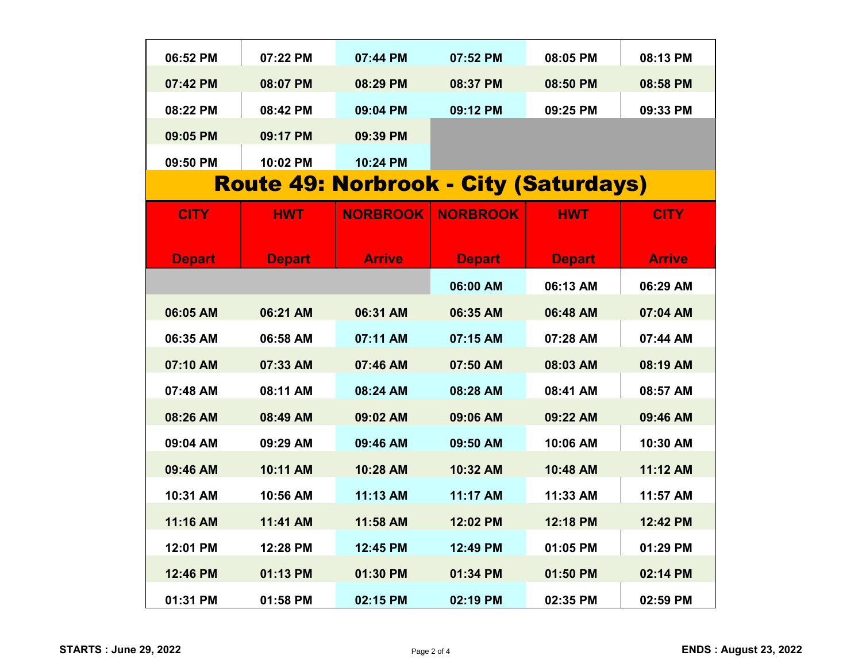| 06:52 PM                                     | 07:22 PM      | 07:44 PM        | 07:52 PM        | 08:05 PM      | 08:13 PM      |  |
|----------------------------------------------|---------------|-----------------|-----------------|---------------|---------------|--|
| 07:42 PM                                     | 08:07 PM      | 08:29 PM        | 08:37 PM        | 08:50 PM      | 08:58 PM      |  |
| 08:22 PM                                     | 08:42 PM      | 09:04 PM        | 09:12 PM        | 09:25 PM      | 09:33 PM      |  |
| 09:05 PM                                     | 09:17 PM      | 09:39 PM        |                 |               |               |  |
| 09:50 PM                                     | 10:02 PM      | 10:24 PM        |                 |               |               |  |
| <b>Route 49: Norbrook - City (Saturdays)</b> |               |                 |                 |               |               |  |
| <b>CITY</b>                                  | <b>HWT</b>    | <b>NORBROOK</b> | <b>NORBROOK</b> | <b>HWT</b>    | <b>CITY</b>   |  |
|                                              |               |                 |                 |               |               |  |
| <b>Depart</b>                                | <b>Depart</b> | <b>Arrive</b>   | <b>Depart</b>   | <b>Depart</b> | <b>Arrive</b> |  |
|                                              |               |                 | 06:00 AM        | 06:13 AM      | 06:29 AM      |  |
| 06:05 AM                                     | 06:21 AM      | 06:31 AM        | 06:35 AM        | 06:48 AM      | 07:04 AM      |  |
| 06:35 AM                                     | 06:58 AM      | 07:11 AM        | 07:15 AM        | 07:28 AM      | 07:44 AM      |  |
| 07:10 AM                                     | 07:33 AM      | 07:46 AM        | 07:50 AM        | 08:03 AM      | 08:19 AM      |  |
| 07:48 AM                                     | 08:11 AM      | 08:24 AM        | 08:28 AM        | 08:41 AM      | 08:57 AM      |  |
| 08:26 AM                                     | 08:49 AM      | 09:02 AM        | 09:06 AM        | 09:22 AM      | 09:46 AM      |  |
| 09:04 AM                                     | 09:29 AM      | 09:46 AM        | 09:50 AM        | 10:06 AM      | 10:30 AM      |  |
| 09:46 AM                                     | 10:11 AM      | 10:28 AM        | 10:32 AM        | 10:48 AM      | 11:12 AM      |  |
| 10:31 AM                                     | 10:56 AM      | 11:13 AM        | 11:17 AM        | 11:33 AM      | 11:57 AM      |  |
| 11:16 AM                                     | 11:41 AM      | 11:58 AM        | 12:02 PM        | 12:18 PM      | 12:42 PM      |  |
| 12:01 PM                                     | 12:28 PM      | 12:45 PM        | 12:49 PM        | 01:05 PM      | 01:29 PM      |  |
| 12:46 PM                                     | 01:13 PM      | 01:30 PM        | 01:34 PM        | 01:50 PM      | 02:14 PM      |  |
| 01:31 PM                                     | 01:58 PM      | 02:15 PM        | 02:19 PM        | 02:35 PM      | 02:59 PM      |  |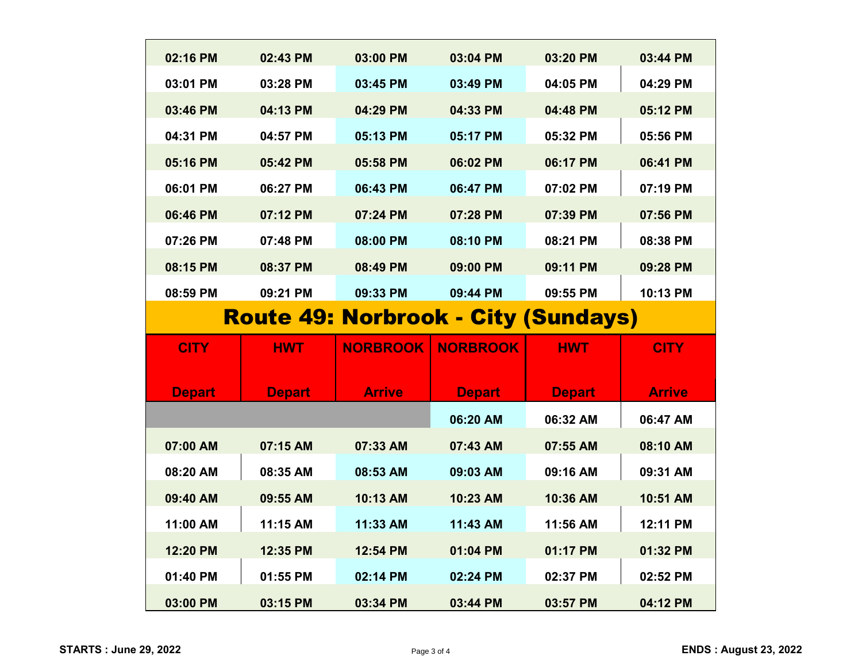| 02:16 PM                                   | 02:43 PM      | 03:00 PM        | 03:04 PM        | 03:20 PM      | 03:44 PM      |
|--------------------------------------------|---------------|-----------------|-----------------|---------------|---------------|
| 03:01 PM                                   | 03:28 PM      | 03:45 PM        | 03:49 PM        | 04:05 PM      | 04:29 PM      |
| 03:46 PM                                   | 04:13 PM      | 04:29 PM        | 04:33 PM        | 04:48 PM      | 05:12 PM      |
| 04:31 PM                                   | 04:57 PM      | 05:13 PM        | 05:17 PM        | 05:32 PM      | 05:56 PM      |
| 05:16 PM                                   | 05:42 PM      | 05:58 PM        | 06:02 PM        | 06:17 PM      | 06:41 PM      |
| 06:01 PM                                   | 06:27 PM      | 06:43 PM        | 06:47 PM        | 07:02 PM      | 07:19 PM      |
| 06:46 PM                                   | 07:12 PM      | 07:24 PM        | 07:28 PM        | 07:39 PM      | 07:56 PM      |
| 07:26 PM                                   | 07:48 PM      | 08:00 PM        | 08:10 PM        | 08:21 PM      | 08:38 PM      |
| 08:15 PM                                   | 08:37 PM      | 08:49 PM        | 09:00 PM        | 09:11 PM      | 09:28 PM      |
| 08:59 PM                                   | 09:21 PM      | 09:33 PM        | 09:44 PM        | 09:55 PM      | 10:13 PM      |
| <b>Route 49: Norbrook - City (Sundays)</b> |               |                 |                 |               |               |
|                                            |               |                 |                 |               |               |
|                                            |               |                 |                 |               |               |
| <b>CITY</b>                                | <b>HWT</b>    | <b>NORBROOK</b> | <b>NORBROOK</b> | <b>HWT</b>    | <b>CITY</b>   |
| <b>Depart</b>                              | <b>Depart</b> | <b>Arrive</b>   | <b>Depart</b>   | <b>Depart</b> | <b>Arrive</b> |
|                                            |               |                 | 06:20 AM        | 06:32 AM      | 06:47 AM      |
| 07:00 AM                                   | 07:15 AM      | 07:33 AM        | 07:43 AM        | 07:55 AM      | 08:10 AM      |
| 08:20 AM                                   | 08:35 AM      | 08:53 AM        | 09:03 AM        | 09:16 AM      | 09:31 AM      |
| 09:40 AM                                   | 09:55 AM      | 10:13 AM        | 10:23 AM        | 10:36 AM      | 10:51 AM      |
| 11:00 AM                                   | 11:15 AM      | 11:33 AM        | 11:43 AM        | 11:56 AM      | 12:11 PM      |
| 12:20 PM                                   | 12:35 PM      | 12:54 PM        | 01:04 PM        | 01:17 PM      | 01:32 PM      |
| 01:40 PM                                   | 01:55 PM      | 02:14 PM        | 02:24 PM        | 02:37 PM      | 02:52 PM      |